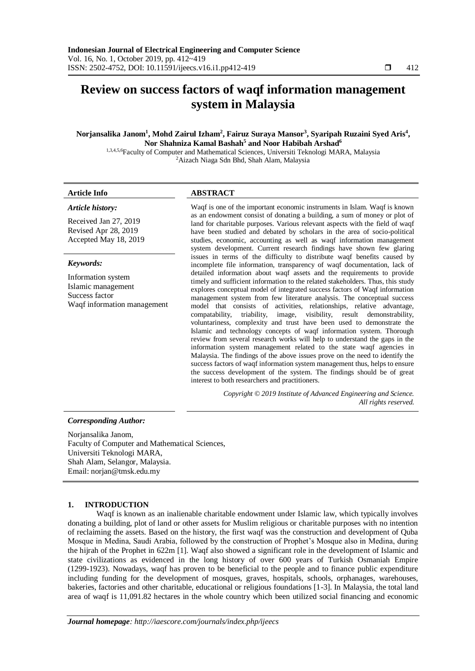# **Review on success factors of waqf information management system in Malaysia**

# **Norjansalika Janom<sup>1</sup> , Mohd Zairul Izham<sup>2</sup> , Fairuz Suraya Mansor<sup>3</sup> , Syaripah Ruzaini Syed Aris<sup>4</sup> , Nor Shahniza Kamal Bashah<sup>5</sup> and Noor Habibah Arshad<sup>6</sup>**

1,3,4,5,6Faculty of Computer and Mathematical Sciences, Universiti Teknologi MARA, Malaysia <sup>2</sup>Aizach Niaga Sdn Bhd, Shah Alam, Malaysia

# **Article Info ABSTRACT**

*Article history:*

Received Jan 27, 2019 Revised Apr 28, 2019 Accepted May 18, 2019

# *Keywords:*

Information system Islamic management Success factor Waqf information management

Waqf is one of the important economic instruments in Islam. Waqf is known as an endowment consist of donating a building, a sum of money or plot of land for charitable purposes. Various relevant aspects with the field of waqf have been studied and debated by scholars in the area of socio-political studies, economic, accounting as well as waqf information management system development. Current research findings have shown few glaring issues in terms of the difficulty to distribute waqf benefits caused by incomplete file information, transparency of waqf documentation, lack of detailed information about waqf assets and the requirements to provide timely and sufficient information to the related stakeholders. Thus, this study explores conceptual model of integrated success factors of Waqf information management system from few literature analysis. The conceptual success model that consists of activities, relationships, relative advantage, compatability, triability, image, visibility, result demonstrability, voluntariness, complexity and trust have been used to demonstrate the Islamic and technology concepts of waqf information system. Thorough review from several research works will help to understand the gaps in the information system management related to the state waqf agencies in Malaysia. The findings of the above issues prove on the need to identify the success factors of waqf information system management thus, helps to ensure the success development of the system. The findings should be of great interest to both researchers and practitioners.

> *Copyright © 2019 Institute of Advanced Engineering and Science. All rights reserved.*

# *Corresponding Author:*

Norjansalika Janom, Faculty of Computer and Mathematical Sciences, Universiti Teknologi MARA, Shah Alam, Selangor, Malaysia. Email: norjan@tmsk.edu.my

# **1. INTRODUCTION**

Waqf is known as an inalienable charitable endowment under Islamic law, which typically involves donating a building, plot of land or other assets for Muslim religious or charitable purposes with no intention of reclaiming the assets. Based on the history, the first waqf was the construction and development of Quba Mosque in Medina, Saudi Arabia, followed by the construction of Prophet's Mosque also in Medina, during the hijrah of the Prophet in 622m [1]. Waqf also showed a significant role in the development of Islamic and state civilizations as evidenced in the long history of over 600 years of Turkish Osmaniah Empire (1299-1923). Nowadays, waqf has proven to be beneficial to the people and to finance public expenditure including funding for the development of mosques, graves, hospitals, schools, orphanages, warehouses, bakeries, factories and other charitable, educational or religious foundations [1-3]. In Malaysia, the total land area of waqf is 11,091.82 hectares in the whole country which been utilized social financing and economic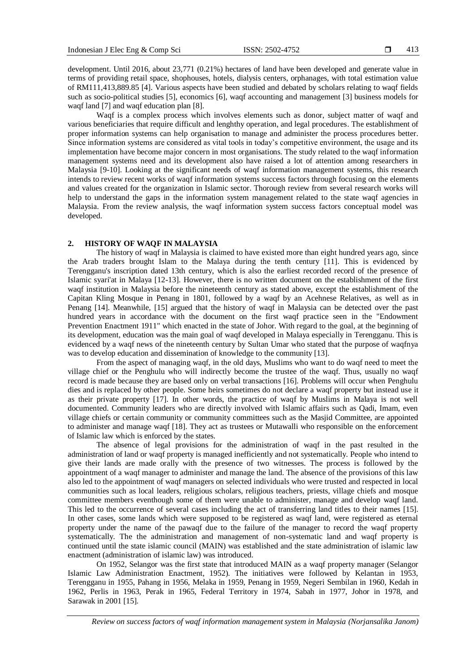development. Until 2016, about 23,771 (0.21%) hectares of land have been developed and generate value in terms of providing retail space, shophouses, hotels, dialysis centers, orphanages, with total estimation value of RM111,413,889.85 [4]. Various aspects have been studied and debated by scholars relating to waqf fields such as socio-political studies [5], economics [6], waqf accounting and management [3] business models for waqf land [7] and waqf education plan [8].

Waqf is a complex process which involves elements such as donor, subject matter of waqf and various beneficiaries that require difficult and lenghthy operation, and legal procedures. The establishment of proper information systems can help organisation to manage and administer the process procedures better. Since information systems are considered as vital tools in today's competitive environment, the usage and its implementation have become major concern in most organisations. The study related to the waqf information management systems need and its development also have raised a lot of attention among researchers in Malaysia [9-10]. Looking at the significant needs of waqf information management systems, this research intends to review recent works of waqf information systems success factors through focusing on the elements and values created for the organization in Islamic sector. Thorough review from several research works will help to understand the gaps in the information system management related to the state waqf agencies in Malaysia. From the review analysis, the waqf information system success factors conceptual model was developed.

# **2. HISTORY OF WAQF IN MALAYSIA**

The history of waqf in Malaysia is claimed to have existed more than eight hundred years ago, since the Arab traders brought Islam to the Malaya during the tenth century [11]. This is evidenced by Terengganu's inscription dated 13th century, which is also the earliest recorded record of the presence of Islamic syari'at in Malaya [12-13]. However, there is no written document on the establishment of the first waqf institution in Malaysia before the nineteenth century as stated above, except the establishment of the Capitan Kling Mosque in Penang in 1801, followed by a waqf by an Acehnese Relatives, as well as in Penang [14]. Meanwhile, [15] argued that the history of waqf in Malaysia can be detected over the past hundred years in accordance with the document on the first waqf practice seen in the "Endowment Prevention Enactment 1911" which enacted in the state of Johor. With regard to the goal, at the beginning of its development, education was the main goal of waqf developed in Malaya especially in Terengganu. This is evidenced by a waqf news of the nineteenth century by Sultan Umar who stated that the purpose of waqfnya was to develop education and dissemination of knowledge to the community [13].

From the aspect of managing waqf, in the old days, Muslims who want to do waqf need to meet the village chief or the Penghulu who will indirectly become the trustee of the waqf. Thus, usually no waqf record is made because they are based only on verbal transactions [16]. Problems will occur when Penghulu dies and is replaced by other people. Some heirs sometimes do not declare a waqf property but instead use it as their private property [17]. In other words, the practice of waqf by Muslims in Malaya is not well documented. Community leaders who are directly involved with Islamic affairs such as Qadi, Imam, even village chiefs or certain community or community committees such as the Masjid Committee, are appointed to administer and manage waqf [18]. They act as trustees or Mutawalli who responsible on the enforcement of Islamic law which is enforced by the states.

The absence of legal provisions for the administration of waqf in the past resulted in the administration of land or waqf property is managed inefficiently and not systematically. People who intend to give their lands are made orally with the presence of two witnesses. The process is followed by the appointment of a waqf manager to administer and manage the land. The absence of the provisions of this law also led to the appointment of waqf managers on selected individuals who were trusted and respected in local communities such as local leaders, religious scholars, religious teachers, priests, village chiefs and mosque committee members eventhough some of them were unable to administer, manage and develop waqf land. This led to the occurrence of several cases including the act of transferring land titles to their names [15]. In other cases, some lands which were supposed to be registered as waqf land, were registered as eternal property under the name of the pawaqf due to the failure of the manager to record the waqf property systematically. The the administration and management of non-systematic land and waqf property is continued until the state islamic council (MAIN) was established and the state administration of islamic law enactment (administration of islamic law) was introduced.

On 1952, Selangor was the first state that introduced MAIN as a waqf property manager (Selangor Islamic Law Administration Enactment, 1952). The initiatives were followed by Kelantan in 1953, Terengganu in 1955, Pahang in 1956, Melaka in 1959, Penang in 1959, Negeri Sembilan in 1960, Kedah in 1962, Perlis in 1963, Perak in 1965, Federal Territory in 1974, Sabah in 1977, Johor in 1978, and Sarawak in 2001 [15].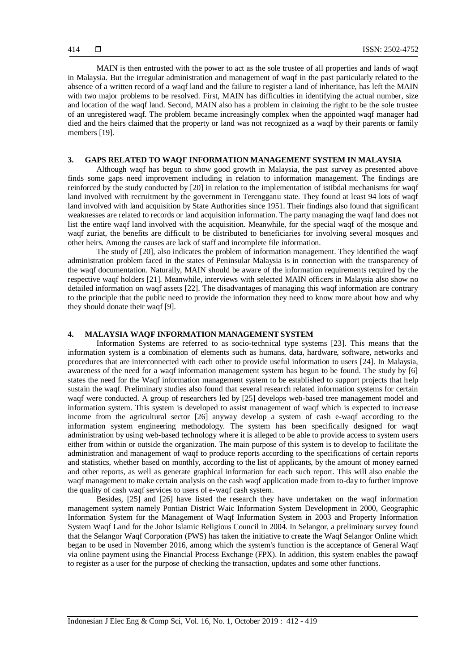MAIN is then entrusted with the power to act as the sole trustee of all properties and lands of waqf in Malaysia. But the irregular administration and management of waqf in the past particularly related to the absence of a written record of a waqf land and the failure to register a land of inheritance, has left the MAIN with two major problems to be resolved. First, MAIN has difficulties in identifying the actual number, size and location of the waqf land. Second, MAIN also has a problem in claiming the right to be the sole trustee of an unregistered waqf. The problem became increasingly complex when the appointed waqf manager had died and the heirs claimed that the property or land was not recognized as a waqf by their parents or family members [19].

# **3. GAPS RELATED TO WAQF INFORMATION MANAGEMENT SYSTEM IN MALAYSIA**

Although waqf has begun to show good growth in Malaysia, the past survey as presented above finds some gaps need improvement including in relation to information management. The findings are reinforced by the study conducted by [20] in relation to the implementation of istibdal mechanisms for waqf land involved with recruitment by the government in Terengganu state. They found at least 94 lots of waqf land involved with land acquisition by State Authorities since 1951. Their findings also found that significant weaknesses are related to records or land acquisition information. The party managing the waqf land does not list the entire waqf land involved with the acquisition. Meanwhile, for the special waqf of the mosque and waqf zuriat, the benefits are difficult to be distributed to beneficiaries for involving several mosques and other heirs. Among the causes are lack of staff and incomplete file information.

The study of [20], also indicates the problem of information management. They identified the waqf administration problem faced in the states of Peninsular Malaysia is in connection with the transparency of the waqf documentation. Naturally, MAIN should be aware of the information requirements required by the respective waqf holders [21]. Meanwhile, interviews with selected MAIN officers in Malaysia also show no detailed information on waqf assets [22]. The disadvantages of managing this waqf information are contrary to the principle that the public need to provide the information they need to know more about how and why they should donate their waqf [9].

# **4. MALAYSIA WAQF INFORMATION MANAGEMENT SYSTEM**

Information Systems are referred to as socio-technical type systems [23]. This means that the information system is a combination of elements such as humans, data, hardware, software, networks and procedures that are interconnected with each other to provide useful information to users [24]. In Malaysia, awareness of the need for a waqf information management system has begun to be found. The study by [6] states the need for the Waqf information management system to be established to support projects that help sustain the waqf. Preliminary studies also found that several research related information systems for certain waqf were conducted. A group of researchers led by [25] develops web-based tree management model and information system. This system is developed to assist management of waqf which is expected to increase income from the agricultural sector [26] anyway develop a system of cash e-waqf according to the information system engineering methodology. The system has been specifically designed for waqf administration by using web-based technology where it is alleged to be able to provide access to system users either from within or outside the organization. The main purpose of this system is to develop to facilitate the administration and management of waqf to produce reports according to the specifications of certain reports and statistics, whether based on monthly, according to the list of applicants, by the amount of money earned and other reports, as well as generate graphical information for each such report. This will also enable the waqf management to make certain analysis on the cash waqf application made from to-day to further improve the quality of cash waqf services to users of e-waqf cash system.

Besides, [25] and [26] have listed the research they have undertaken on the waqf information management system namely Pontian District Waic Information System Development in 2000, Geographic Information System for the Management of Waqf Information System in 2003 and Property Information System Waqf Land for the Johor Islamic Religious Council in 2004. In Selangor, a preliminary survey found that the Selangor Waqf Corporation (PWS) has taken the initiative to create the Waqf Selangor Online which began to be used in November 2016, among which the system's function is the acceptance of General Waqf via online payment using the Financial Process Exchange (FPX). In addition, this system enables the pawaqf to register as a user for the purpose of checking the transaction, updates and some other functions.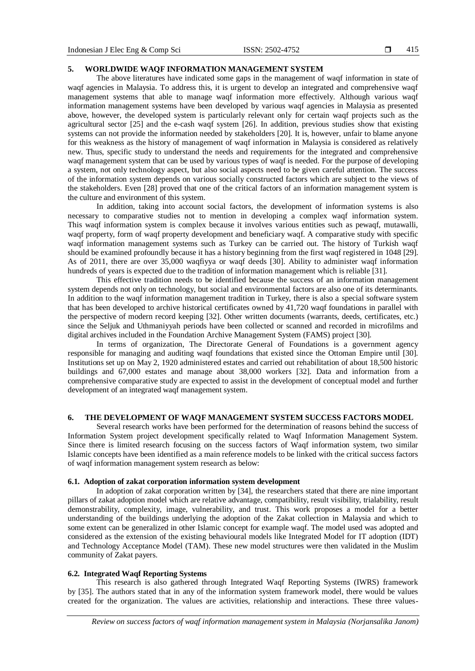# **5. WORLDWIDE WAQF INFORMATION MANAGEMENT SYSTEM**

The above literatures have indicated some gaps in the management of waqf information in state of waqf agencies in Malaysia. To address this, it is urgent to develop an integrated and comprehensive waqf management systems that able to manage waqf information more effectively. Although various waqf information management systems have been developed by various waqf agencies in Malaysia as presented above, however, the developed system is particularly relevant only for certain waqf projects such as the agricultural sector [25] and the e-cash waqf system [26]. In addition, previous studies show that existing systems can not provide the information needed by stakeholders [20]. It is, however, unfair to blame anyone for this weakness as the history of management of waqf information in Malaysia is considered as relatively new. Thus, specific study to understand the needs and requirements for the integrated and comprehensive waqf management system that can be used by various types of waqf is needed. For the purpose of developing a system, not only technology aspect, but also social aspects need to be given careful attention. The success of the information system depends on various socially constructed factors which are subject to the views of the stakeholders. Even [28] proved that one of the critical factors of an information management system is the culture and environment of this system.

In addition, taking into account social factors, the development of information systems is also necessary to comparative studies not to mention in developing a complex waqf information system. This waqf information system is complex because it involves various entities such as pewaqf, mutawalli, waqf property, form of waqf property development and beneficiary waqf. A comparative study with specific waqf information management systems such as Turkey can be carried out. The history of Turkish waqf should be examined profoundly because it has a history beginning from the first waqf registered in 1048 [29]. As of 2011, there are over 35,000 waqfiyya or waqf deeds [30]. Ability to administer waqf information hundreds of years is expected due to the tradition of information management which is reliable [31].

This effective tradition needs to be identified because the success of an information management system depends not only on technology, but social and environmental factors are also one of its determinants. In addition to the waqf information management tradition in Turkey, there is also a special software system that has been developed to archive historical certificates owned by 41,720 waqf foundations in parallel with the perspective of modern record keeping [32]. Other written documents (warrants, deeds, certificates, etc.) since the Seljuk and Uthmaniyyah periods have been collected or scanned and recorded in microfilms and digital archives included in the Foundation Archive Management System (FAMS) project [30].

In terms of organization, The Directorate General of Foundations is a government agency responsible for managing and auditing waqf foundations that existed since the Ottoman Empire until [30]. Institutions set up on May 2, 1920 administered estates and carried out rehabilitation of about 18,500 historic buildings and 67,000 estates and manage about 38,000 workers [32]. Data and information from a comprehensive comparative study are expected to assist in the development of conceptual model and further development of an integrated waqf management system.

# **6. THE DEVELOPMENT OF WAQF MANAGEMENT SYSTEM SUCCESS FACTORS MODEL**

Several research works have been performed for the determination of reasons behind the success of Information System project development specifically related to Waqf Information Management System. Since there is limited research focusing on the success factors of Waqf information system, two similar Islamic concepts have been identified as a main reference models to be linked with the critical success factors of waqf information management system research as below:

#### **6.1. Adoption of zakat corporation information system development**

In adoption of zakat corporation written by [34], the researchers stated that there are nine important pillars of zakat adoption model which are relative advantage, compatibility, result visibility, trialability, result demonstrability, complexity, image, vulnerability, and trust. This work proposes a model for a better understanding of the buildings underlying the adoption of the Zakat collection in Malaysia and which to some extent can be generalized in other Islamic concept for example waqf. The model used was adopted and considered as the extension of the existing behavioural models like Integrated Model for IT adoption (IDT) and Technology Acceptance Model (TAM). These new model structures were then validated in the Muslim community of Zakat payers.

# **6.2. Integrated Waqf Reporting Systems**

This research is also gathered through Integrated Waqf Reporting Systems (IWRS) framework by [35]. The authors stated that in any of the information system framework model, there would be values created for the organization. The values are activities, relationship and interactions. These three values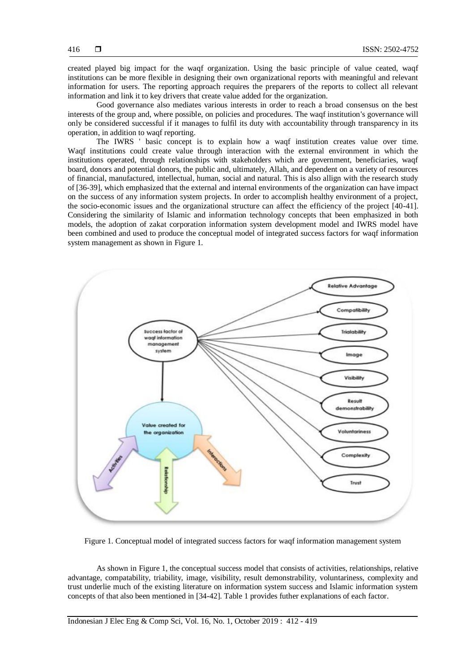created played big impact for the waqf organization. Using the basic principle of value ceated, waqf institutions can be more flexible in designing their own organizational reports with meaningful and relevant information for users. The reporting approach requires the preparers of the reports to collect all relevant information and link it to key drivers that create value added for the organization.

Good governance also mediates various interests in order to reach a broad consensus on the best interests of the group and, where possible, on policies and procedures. The waqf institution's governance will only be considered successful if it manages to fulfil its duty with accountability through transparency in its operation, in addition to waqf reporting.

The IWRS ' basic concept is to explain how a waqf institution creates value over time. Waqf institutions could create value through interaction with the external environment in which the institutions operated, through relationships with stakeholders which are government, beneficiaries, waqf board, donors and potential donors, the public and, ultimately, Allah, and dependent on a variety of resources of financial, manufactured, intellectual, human, social and natural. This is also allign with the research study of [36-39], which emphasized that the external and internal environments of the organization can have impact on the success of any information system projects. In order to accomplish healthy environment of a project, the socio-economic issues and the organizational structure can affect the efficiency of the project [40-41]. Considering the similarity of Islamic and information technology concepts that been emphasized in both models, the adoption of zakat corporation information system development model and IWRS model have been combined and used to produce the conceptual model of integrated success factors for waqf information system management as shown in Figure 1.



Figure 1. Conceptual model of integrated success factors for waqf information management system

As shown in Figure 1, the conceptual success model that consists of activities, relationships, relative advantage, compatability, triability, image, visibility, result demonstrability, voluntariness, complexity and trust underlie much of the existing literature on information system success and Islamic information system concepts of that also been mentioned in [34-42]. Table 1 provides futher explanations of each factor.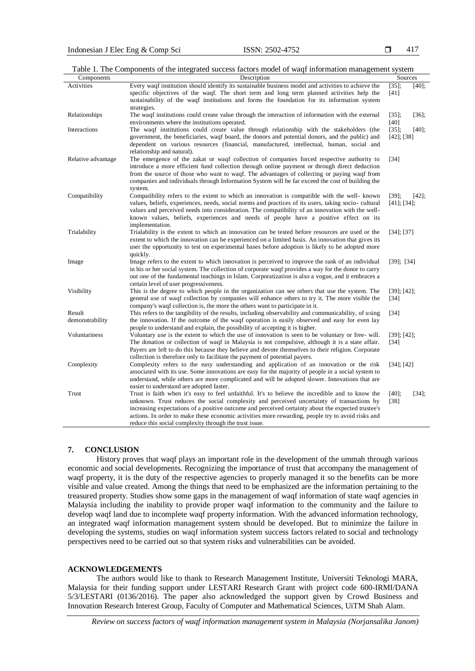417

| Table 1. The Components of the integrated success factors model of wag information management system |  |
|------------------------------------------------------------------------------------------------------|--|
|                                                                                                      |  |

| Components         | Description                                                                                                                                                                                                                                                                                                                                                                                                                                                        | Sources                                   |
|--------------------|--------------------------------------------------------------------------------------------------------------------------------------------------------------------------------------------------------------------------------------------------------------------------------------------------------------------------------------------------------------------------------------------------------------------------------------------------------------------|-------------------------------------------|
| Activities         | Every waqf institution should identify its sustainable business model and activities to achieve the                                                                                                                                                                                                                                                                                                                                                                | $[40]$ ;<br>$[35]$ ;                      |
|                    | specific objectives of the waqf. The short term and long term planned activities help the                                                                                                                                                                                                                                                                                                                                                                          | [41]                                      |
|                    | sustainability of the waqf institutions and forms the foundation for its information system<br>strategies.                                                                                                                                                                                                                                                                                                                                                         |                                           |
| Relationships      | The waqf institutions could create value through the interaction of information with the external<br>environments where the institutions operated.                                                                                                                                                                                                                                                                                                                 | $[36]$ ;<br>$[35]$ ;<br>[40]              |
| Interactions       | The waqf institutions could create value through relationship with the stakeholders (the                                                                                                                                                                                                                                                                                                                                                                           | $[35]$ ;<br>$[40]$ ;                      |
|                    | government, the beneficiaries, waqf board, the donors and potential donors, and the public) and<br>dependent on various resources (financial, manufactured, intellectual, human, social and<br>relationship and natural).                                                                                                                                                                                                                                          | $[42]$ ; [38]                             |
| Relative advantage | The emergence of the zakat or waqf collection of companies forced respective authority to<br>introduce a more efficient fund collection through online payment or through direct deduction<br>from the source of those who want to waqf. The advantages of collecting or paying waqf from                                                                                                                                                                          | $[34]$                                    |
|                    | companies and individuals through Information System will be far exceed the cost of building the<br>system.                                                                                                                                                                                                                                                                                                                                                        |                                           |
| Compatibility      | Compatibility refers to the extent to which an innovation is compatible with the well-known<br>values, beliefs, experiences, needs, social norms and practices of its users, taking socio- cultural<br>values and perceived needs into consideration. The compatibility of an innovation with the well-<br>known values, beliefs, experiences and needs of people have a positive effect on its<br>implementation.                                                 | $[39]$ ;<br>$[42]$ ;<br>$[41]$ ; $[34]$ ; |
| Trialability       | Trialability is the extent to which an innovation can be tested before resources are used or the<br>extent to which the innovation can be experienced on a limited basis. An innovation that gives its<br>user the opportunity to test on experimental bases before adoption is likely to be adopted more<br>quickly.                                                                                                                                              | $[34]$ ; [37]                             |
| Image              | Image refers to the extent to which innovation is perceived to improve the rank of an individual<br>in his or her social system. The collection of corporate waqf provides a way for the donor to carry<br>out one of the fundamental teachings in Islam. Corporatization is also a vogue, and it embraces a<br>certain level of user progressiveness.                                                                                                             | $[39]$ ; $[34]$                           |
| Visibility         | This is the degree to which people in the organization can see others that use the system. The<br>general use of waqf collection by companies will enhance others to try it. The more visible the<br>company's waqf collection is, the more the others want to participate in it.                                                                                                                                                                                  | $[39]$ ; $[42]$ ;<br>$\lceil 34 \rceil$   |
| Result             | This refers to the tangibility of the results, including observability and communicability, of using                                                                                                                                                                                                                                                                                                                                                               | [34]                                      |
| demonstrability    | the innovation. If the outcome of the waqf operation is easily observed and easy for even lay<br>people to understand and explain, the possibility of accepting it is higher.                                                                                                                                                                                                                                                                                      |                                           |
| Voluntariness      | Voluntary use is the extent to which the use of innovation is seen to be voluntary or free- will.                                                                                                                                                                                                                                                                                                                                                                  | $[39]$ ; $[42]$ ;                         |
|                    | The donation or collection of waqf in Malaysia is not compulsive, although it is a state affair.<br>Payers are left to do this because they believe and devote themselves to their religion. Corporate<br>collection is therefore only to facilitate the payment of potential payers.                                                                                                                                                                              | [34]                                      |
| Complexity         | Complexity refers to the easy understanding and application of an innovation or the risk<br>associated with its use. Some innovations are easy for the majority of people in a social system to<br>understand, while others are more complicated and will be adopted slower. Innovations that are<br>easier to understand are adopted faster.                                                                                                                      | $[34]$ ; $[42]$                           |
| Trust              | Trust is faith when it's easy to feel unfaithful. It's to believe the incredible and to know the<br>unknown. Trust reduces the social complexity and perceived uncertainty of transactions by<br>increasing expectations of a positive outcome and perceived certainty about the expected trustee's<br>actions. In order to make these economic activities more rewarding, people try to avoid risks and<br>reduce this social complexity through the trust issue. | $[40]$ ;<br>$[34]$ ;<br>$[38]$            |

# **7. CONCLUSION**

History proves that waqf plays an important role in the development of the ummah through various economic and social developments. Recognizing the importance of trust that accompany the management of waqf property, it is the duty of the respective agencies to properly managed it so the benefits can be more visible and value created. Among the things that need to be emphasized are the information pertaining to the treasured property. Studies show some gaps in the management of waqf information of state waqf agencies in Malaysia including the inability to provide proper waqf information to the community and the failure to develop waqf land due to incomplete waqf property information. With the advanced information technology, an integrated waqf information management system should be developed. But to minimize the failure in developing the systems, studies on waqf information system success factors related to social and technology perspectives need to be carried out so that system risks and vulnerabilities can be avoided.

# **ACKNOWLEDGEMENTS**

The authors would like to thank to Research Management Institute, Universiti Teknologi MARA, Malaysia for their funding support under LESTARI Research Grant with project code 600-IRMI/DANA 5/3/LESTARI (0136/2016). The paper also acknowledged the support given by Crowd Business and Innovation Research Interest Group, Faculty of Computer and Mathematical Sciences, UiTM Shah Alam.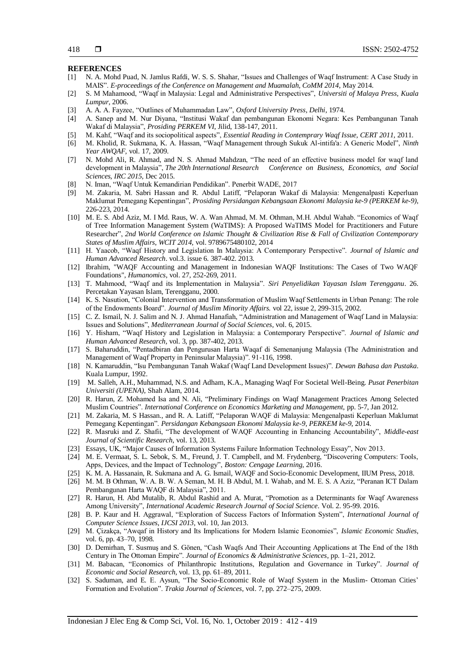#### **REFERENCES**

- [1] N. A. Mohd Puad, N. Jamlus Rafdi, W. S. S. Shahar, "Issues and Challenges of Waqf Instrument: A Case Study in MAIS". *E-proceedings of the Conference on Management and Muamalah, CoMM 2014*, May 2014.
- [2] S. M Mahamood, "Waqf in Malaysia: Legal and Administrative Perspectives", *Universiti of Malaya Press, Kuala Lumpur*, 2006.
- [3] A. A. A. Fayzee, "Outlines of Muhammadan Law", *Oxford University Press, Delhi*, 1974.
- [4] A. Sanep and M. Nur Diyana, "Institusi Wakaf dan pembangunan Ekonomi Negara: Kes Pembangunan Tanah Wakaf di Malaysia", *Prosiding PERKEM VI*, Jilid, 138-147, 2011.
- [5] M. Kahf, "Waqf and its sociopolitical aspects", *Essential Reading in Contemprary Waqf Issue, CERT 2011,* 2011.
- [6] M. Kholid, R. Sukmana, K. A. Hassan, "Waqf Management through Sukuk Al-intifa'a: A Generic Model", *Ninth Year AWQAF,* vol. 17, 2009.
- [7] N. Mohd Ali, R. Ahmad, and N. S. Ahmad Mahdzan, "The need of an effective business model for waqf land development in Malaysia", *The 20th International Research Conference on Business, Economics, and Social Sciences, IRC 2015,* Dec 2015.
- [8] N. Iman, "Waqf Untuk Kemandirian Pendidikan". Penerbit WADE, 2017
- [9] M. Zakaria, M. Sabri Hassan and R. Abdul Latiff, "Pelaporan Wakaf di Malaysia: Mengenalpasti Keperluan Maklumat Pemegang Kepentingan", *Prosiding Persidangan Kebangsaan Ekonomi Malaysia ke-9 (PERKEM ke-9)*, 226-223, 2014.
- [10] M. E. S. Abd Aziz, M. I Md. Raus, W. A. Wan Ahmad, M. M. Othman, M.H. Abdul Wahab. "Economics of Waqf of Tree Information Management System (WaTIMS): A Proposed WaTIMS Model for Practitioners and Future Researcher", *2nd World Conference on Islamic Thought & Civilization Rise & Fall of Civilization Contemporary States of Muslim Affairs, WCIT 2014,* vol. 9789675480102, 2014
- [11] H. Yaacob, "Waqf History and Legislation In Malaysia: A Contemporary Perspective". *Journal of Islamic and Human Advanced Research*. vol.3. issue 6. 387-402. 2013.
- [12] Ibrahim, "WAQF Accounting and Management in Indonesian WAQF Institutions: The Cases of Two WAQF Foundations", *Humanomics*, vol. 27, 252-269, 2011.
- [13] T. Mahmood, "Waqf and its Implementation in Malaysia". *Siri Penyelidikan Yayasan Islam Terengganu*. 26. Percetakan Yayasan Islam, Terengganu, 2000.
- [14] K. S. Nasution, "Colonial Intervention and Transformation of Muslim Waqf Settlements in Urban Penang: The role of the Endowments Board". *Journal of Muslim Minority Affairs.* vol 22, issue 2, 299-315, 2002.
- [15] C. Z. Ismail, N. J. Salim and N. J. Ahmad Hanafiah, "Administration and Management of Waqf Land in Malaysia: Issues and Solutions", *Mediterranean Journal of Social Sciences*, vol. 6, 2015.
- [16] Y. Hisham, "Waqf History and Legislation in Malaysia: a Contemporary Perspective". *Journal of Islamic and Human Advanced Research,* vol. 3, pp. 387-402, 2013.
- [17] S. Baharuddin, "Pentadbiran dan Pengurusan Harta Waqaf di Semenanjung Malaysia (The Administration and Management of Waqf Property in Peninsular Malaysia)". 91-116, 1998.
- [18] N. Kamaruddin, "Isu Pembangunan Tanah Wakaf (Waqf Land Development Issues)". *Dewan Bahasa dan Pustaka*. Kuala Lumpur, 1992.
- [19] M. Salleh, A.H., Muhammad, N.S. and Adham, K.A., Managing Waqf For Societal Well-Being. *Pusat Penerbitan Universiti (UPENA)*, Shah Alam, 2014.
- [20] R. Harun, Z. Mohamed Isa and N. Ali, "Preliminary Findings on Waqf Management Practices Among Selected Muslim Countries". *International Conference on Economics Marketing and Management,* pp. 5-7, Jan 2012.
- [21] M. Zakaria, M. S Hassan., and R. A. Latiff, "Pelaporan WAQF di Malaysia: Mengenalpasti Keperluan Maklumat Pemegang Kepentingan". *Persidangan Kebangsaan Ekonomi Malaysia ke-9, PERKEM ke-9*, 2014.
- [22] R. Masruki and Z. Shafii, "The development of WAQF Accounting in Enhancing Accountability", *Middle-east Journal of Scientific Research*, vol. 13, 2013.
- [23] Essays, UK, "Major Causes of Information Systems Failure Information Technology Essay", Nov 2013.
- [24] M. E. Vermaat, S. L. Sebok, S. M., Freund, J. T. Campbell, and M. Frydenberg, "Discovering Computers: Tools, Apps, Devices, and the Impact of Technology", *Boston: Cengage Learning*, 2016.
- [25] K. M. A. Hassanain, R. Sukmana and A. G. Ismail, WAQF and Socio-Economic Development, IIUM Press, 2018.
- [26] M. M. B Othman, W. A. B. W. A Seman, M. H. B Abdul, M. I. Wahab, and M. E. S. A Aziz, "Peranan ICT Dalam Pembangunan Harta WAQF di Malaysia", 2011.
- [27] R. Harun, H. Abd Mutalib, R. Abdul Rashid and A. Murat, "Promotion as a Determinants for Waqf Awareness Among University", *International Academic Research Journal of Social Science*. Vol. 2. 95-99. 2016.
- [28] B. P. Kaur and H. Aggrawal, "Exploration of Success Factors of Information System", *International Journal of Computer Science Issues*, *IJCSI 2013*, vol. 10, Jan 2013.
- [29] M. Çizakça, "Awqaf in History and Its Implications for Modern Islamic Economies", *Islamic Economic Studies*, vol. 6, pp. 43–70, 1998.
- [30] D. Demirhan, T. Susmuş and S. Gönen, "Cash Waqfs And Their Accounting Applications at The End of the 18th Century in The Ottoman Empire". *Journal of Economics & Administrative Sciences*, pp. 1–21, 2012.
- [31] M. Babacan, "Economics of Philanthropic Institutions, Regulation and Governance in Turkey". *Journal of Economic and Social Research*, vol. 13, pp. 61–89, 2011.
- [32] S. Saduman, and E. E. Aysun, "The Socio-Economic Role of Waqf System in the Muslim- Ottoman Cities' Formation and Evolution". *Trakia Journal of Sciences*, vol. 7, pp. 272–275, 2009.